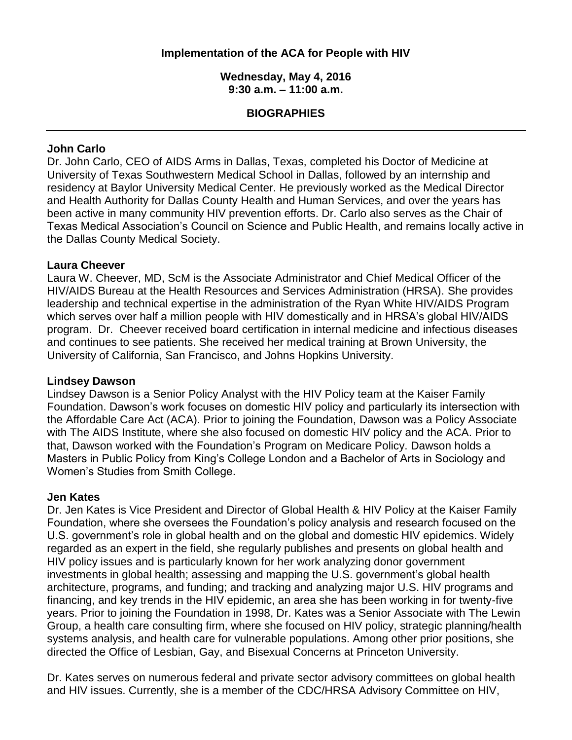## **Implementation of the ACA for People with HIV**

#### **Wednesday, May 4, 2016 9:30 a.m. – 11:00 a.m.**

### **BIOGRAPHIES**

## **John Carlo**

Dr. John Carlo, CEO of AIDS Arms in Dallas, Texas, completed his Doctor of Medicine at University of Texas Southwestern Medical School in Dallas, followed by an internship and residency at Baylor University Medical Center. He previously worked as the Medical Director and Health Authority for Dallas County Health and Human Services, and over the years has been active in many community HIV prevention efforts. Dr. Carlo also serves as the Chair of Texas Medical Association's Council on Science and Public Health, and remains locally active in the Dallas County Medical Society.

#### **Laura Cheever**

Laura W. Cheever, MD, ScM is the Associate Administrator and Chief Medical Officer of the HIV/AIDS Bureau at the Health Resources and Services Administration (HRSA). She provides leadership and technical expertise in the administration of the Ryan White HIV/AIDS Program which serves over half a million people with HIV domestically and in HRSA's global HIV/AIDS program. Dr. Cheever received board certification in internal medicine and infectious diseases and continues to see patients. She received her medical training at Brown University, the University of California, San Francisco, and Johns Hopkins University.

#### **Lindsey Dawson**

Lindsey Dawson is a Senior Policy Analyst with the HIV Policy team at the Kaiser Family Foundation. Dawson's work focuses on domestic HIV policy and particularly its intersection with the Affordable Care Act (ACA). Prior to joining the Foundation, Dawson was a Policy Associate with The AIDS Institute, where she also focused on domestic HIV policy and the ACA. Prior to that, Dawson worked with the Foundation's Program on Medicare Policy. Dawson holds a Masters in Public Policy from King's College London and a Bachelor of Arts in Sociology and Women's Studies from Smith College.

#### **Jen Kates**

Dr. Jen Kates is Vice President and Director of Global Health & HIV Policy at the Kaiser Family Foundation, where she oversees the Foundation's policy analysis and research focused on the U.S. government's role in global health and on the global and domestic HIV epidemics. Widely regarded as an expert in the field, she regularly publishes and presents on global health and HIV policy issues and is particularly known for her work analyzing donor government investments in global health; assessing and mapping the U.S. government's global health architecture, programs, and funding; and tracking and analyzing major U.S. HIV programs and financing, and key trends in the HIV epidemic, an area she has been working in for twenty-five years. Prior to joining the Foundation in 1998, Dr. Kates was a Senior Associate with The Lewin Group, a health care consulting firm, where she focused on HIV policy, strategic planning/health systems analysis, and health care for vulnerable populations. Among other prior positions, she directed the Office of Lesbian, Gay, and Bisexual Concerns at Princeton University.

Dr. Kates serves on numerous federal and private sector advisory committees on global health and HIV issues. Currently, she is a member of the CDC/HRSA Advisory Committee on HIV,